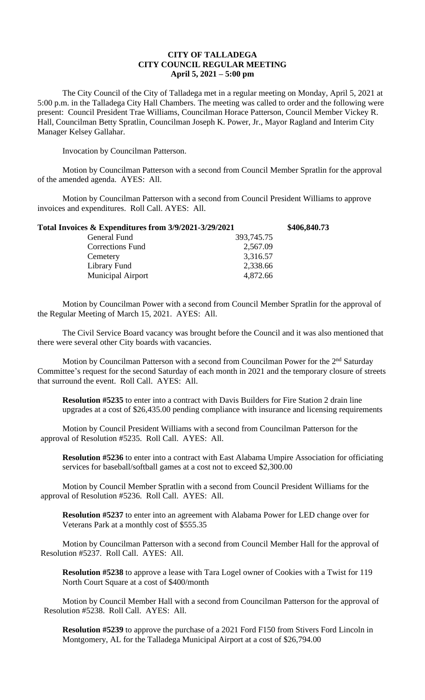## **CITY OF TALLADEGA CITY COUNCIL REGULAR MEETING April 5, 2021 – 5:00 pm**

The City Council of the City of Talladega met in a regular meeting on Monday, April 5, 2021 at 5:00 p.m. in the Talladega City Hall Chambers. The meeting was called to order and the following were present: Council President Trae Williams, Councilman Horace Patterson, Council Member Vickey R. Hall, Councilman Betty Spratlin, Councilman Joseph K. Power, Jr., Mayor Ragland and Interim City Manager Kelsey Gallahar.

Invocation by Councilman Patterson.

Motion by Councilman Patterson with a second from Council Member Spratlin for the approval of the amended agenda. AYES: All.

Motion by Councilman Patterson with a second from Council President Williams to approve invoices and expenditures. Roll Call. AYES: All.

| Total Invoices & Expenditures from 3/9/2021-3/29/2021 | \$406,840.73 |
|-------------------------------------------------------|--------------|
| 393,745.75                                            |              |
| 2,567.09                                              |              |
| 3,316.57                                              |              |
| 2,338.66                                              |              |
| 4,872.66                                              |              |
|                                                       |              |

Motion by Councilman Power with a second from Council Member Spratlin for the approval of the Regular Meeting of March 15, 2021. AYES: All.

The Civil Service Board vacancy was brought before the Council and it was also mentioned that there were several other City boards with vacancies.

Motion by Councilman Patterson with a second from Councilman Power for the 2<sup>nd</sup> Saturday Committee's request for the second Saturday of each month in 2021 and the temporary closure of streets that surround the event. Roll Call. AYES: All.

**Resolution #5235** to enter into a contract with Davis Builders for Fire Station 2 drain line upgrades at a cost of \$26,435.00 pending compliance with insurance and licensing requirements

Motion by Council President Williams with a second from Councilman Patterson for the approval of Resolution #5235. Roll Call. AYES: All.

**Resolution #5236** to enter into a contract with East Alabama Umpire Association for officiating services for baseball/softball games at a cost not to exceed \$2,300.00

Motion by Council Member Spratlin with a second from Council President Williams for the approval of Resolution #5236. Roll Call. AYES: All.

**Resolution #5237** to enter into an agreement with Alabama Power for LED change over for Veterans Park at a monthly cost of \$555.35

Motion by Councilman Patterson with a second from Council Member Hall for the approval of Resolution #5237. Roll Call. AYES: All.

**Resolution #5238** to approve a lease with Tara Logel owner of Cookies with a Twist for 119 North Court Square at a cost of \$400/month

Motion by Council Member Hall with a second from Councilman Patterson for the approval of Resolution #5238. Roll Call. AYES: All.

**Resolution #5239** to approve the purchase of a 2021 Ford F150 from Stivers Ford Lincoln in Montgomery, AL for the Talladega Municipal Airport at a cost of \$26,794.00